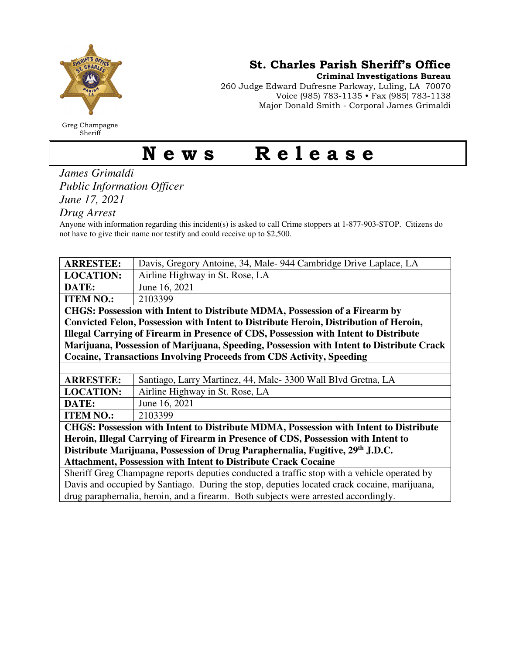

Greg Champagne Sheriff

St. Charles Parish Sheriff's Office

Criminal Investigations Bureau

260 Judge Edward Dufresne Parkway, Luling, LA 70070 Voice (985) 783-1135 • Fax (985) 783-1138 Major Donald Smith - Corporal James Grimaldi

## News Release

*James Grimaldi Public Information Officer June 17, 2021* 

*Drug Arrest* 

Anyone with information regarding this incident(s) is asked to call Crime stoppers at 1-877-903-STOP. Citizens do not have to give their name nor testify and could receive up to \$2,500.

| <b>ARRESTEE:</b>                                                                            | Davis, Gregory Antoine, 34, Male-944 Cambridge Drive Laplace, LA |  |
|---------------------------------------------------------------------------------------------|------------------------------------------------------------------|--|
| <b>LOCATION:</b>                                                                            | Airline Highway in St. Rose, LA                                  |  |
| DATE:                                                                                       | June 16, 2021                                                    |  |
| <b>ITEM NO.:</b>                                                                            | 2103399                                                          |  |
| CHGS: Possession with Intent to Distribute MDMA, Possession of a Firearm by                 |                                                                  |  |
| Convicted Felon, Possession with Intent to Distribute Heroin, Distribution of Heroin,       |                                                                  |  |
| Illegal Carrying of Firearm in Presence of CDS, Possession with Intent to Distribute        |                                                                  |  |
| Marijuana, Possession of Marijuana, Speeding, Possession with Intent to Distribute Crack    |                                                                  |  |
| <b>Cocaine, Transactions Involving Proceeds from CDS Activity, Speeding</b>                 |                                                                  |  |
|                                                                                             |                                                                  |  |
| <b>ARRESTEE:</b>                                                                            | Santiago, Larry Martinez, 44, Male- 3300 Wall Blvd Gretna, LA    |  |
| <b>LOCATION:</b>                                                                            | Airline Highway in St. Rose, LA                                  |  |
| DATE:                                                                                       | June 16, 2021                                                    |  |
| <b>ITEM NO.:</b>                                                                            | 2103399                                                          |  |
| CHGS: Possession with Intent to Distribute MDMA, Possession with Intent to Distribute       |                                                                  |  |
| Heroin, Illegal Carrying of Firearm in Presence of CDS, Possession with Intent to           |                                                                  |  |
| Distribute Marijuana, Possession of Drug Paraphernalia, Fugitive, 29th J.D.C.               |                                                                  |  |
| <b>Attachment, Possession with Intent to Distribute Crack Cocaine</b>                       |                                                                  |  |
| Sheriff Greg Champagne reports deputies conducted a traffic stop with a vehicle operated by |                                                                  |  |
| Davis and occupied by Santiago. During the stop, deputies located crack cocaine, marijuana, |                                                                  |  |
| drug paraphernalia, heroin, and a firearm. Both subjects were arrested accordingly.         |                                                                  |  |